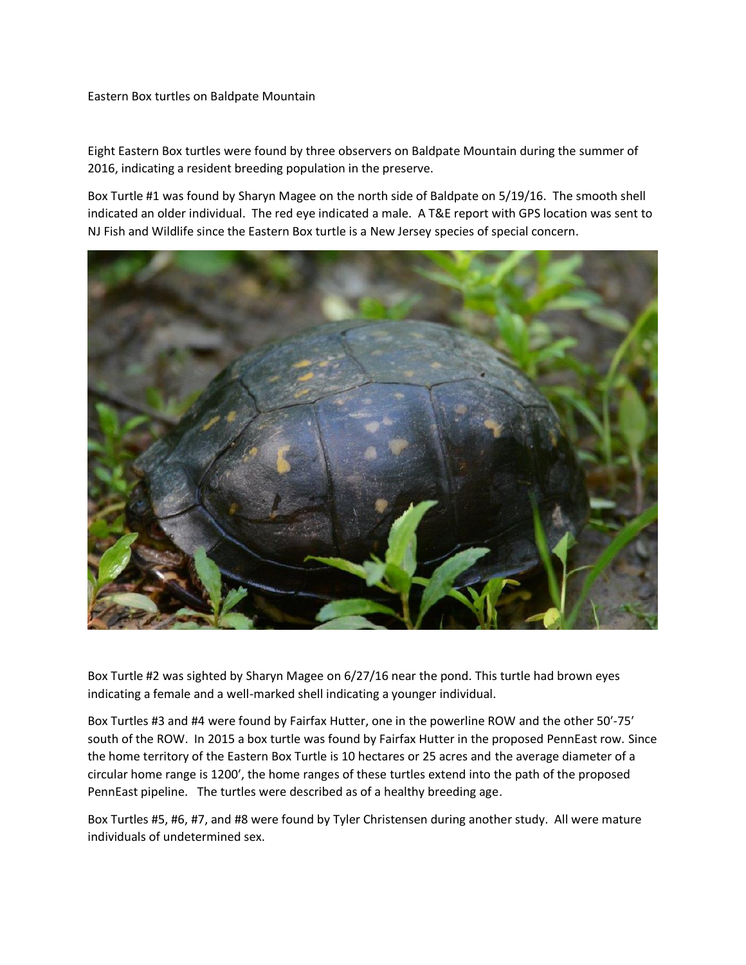## Eastern Box turtles on Baldpate Mountain

Eight Eastern Box turtles were found by three observers on Baldpate Mountain during the summer of 2016, indicating a resident breeding population in the preserve.

Box Turtle #1 was found by Sharyn Magee on the north side of Baldpate on 5/19/16. The smooth shell indicated an older individual. The red eye indicated a male. A T&E report with GPS location was sent to NJ Fish and Wildlife since the Eastern Box turtle is a New Jersey species of special concern.



Box Turtle #2 was sighted by Sharyn Magee on 6/27/16 near the pond. This turtle had brown eyes indicating a female and a well-marked shell indicating a younger individual.

Box Turtles #3 and #4 were found by Fairfax Hutter, one in the powerline ROW and the other 50′-75′ south of the ROW. In 2015 a box turtle was found by Fairfax Hutter in the proposed PennEast row. Since the home territory of the Eastern Box Turtle is 10 hectares or 25 acres and the average diameter of a circular home range is 1200′, the home ranges of these turtles extend into the path of the proposed PennEast pipeline. The turtles were described as of a healthy breeding age.

Box Turtles #5, #6, #7, and #8 were found by Tyler Christensen during another study. All were mature individuals of undetermined sex.